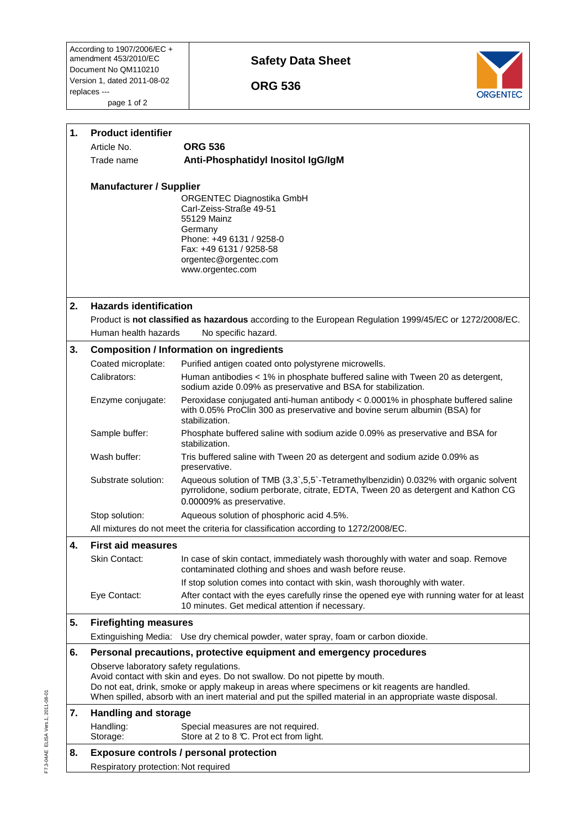According to 1907/2006/EC + amendment 453/2010/EC Document No QM110210 Version 1, dated 2011-08-02 replaces -- page 1 of 2

## **Safety Data Sheet**

 **ORG 536** 



| 1.                             | <b>Product identifier</b>                                           |                                                                                                                                                                                                                                                                                            |  |
|--------------------------------|---------------------------------------------------------------------|--------------------------------------------------------------------------------------------------------------------------------------------------------------------------------------------------------------------------------------------------------------------------------------------|--|
|                                | Article No.                                                         | <b>ORG 536</b>                                                                                                                                                                                                                                                                             |  |
|                                | Trade name                                                          | Anti-Phosphatidyl Inositol IgG/IgM                                                                                                                                                                                                                                                         |  |
| <b>Manufacturer / Supplier</b> |                                                                     | ORGENTEC Diagnostika GmbH<br>Carl-Zeiss-Straße 49-51                                                                                                                                                                                                                                       |  |
|                                |                                                                     | 55129 Mainz<br>Germany<br>Phone: +49 6131 / 9258-0                                                                                                                                                                                                                                         |  |
|                                |                                                                     | Fax: +49 6131 / 9258-58<br>orgentec@orgentec.com<br>www.orgentec.com                                                                                                                                                                                                                       |  |
| 2.                             | <b>Hazards identification</b>                                       |                                                                                                                                                                                                                                                                                            |  |
|                                |                                                                     | Product is not classified as hazardous according to the European Regulation 1999/45/EC or 1272/2008/EC.                                                                                                                                                                                    |  |
|                                | Human health hazards                                                | No specific hazard.                                                                                                                                                                                                                                                                        |  |
| 3.                             | <b>Composition / Information on ingredients</b>                     |                                                                                                                                                                                                                                                                                            |  |
|                                | Coated microplate:                                                  | Purified antigen coated onto polystyrene microwells.                                                                                                                                                                                                                                       |  |
|                                | Calibrators:                                                        | Human antibodies < 1% in phosphate buffered saline with Tween 20 as detergent,<br>sodium azide 0.09% as preservative and BSA for stabilization.                                                                                                                                            |  |
|                                | Enzyme conjugate:                                                   | Peroxidase conjugated anti-human antibody < 0.0001% in phosphate buffered saline<br>with 0.05% ProClin 300 as preservative and bovine serum albumin (BSA) for<br>stabilization.                                                                                                            |  |
|                                | Sample buffer:                                                      | Phosphate buffered saline with sodium azide 0.09% as preservative and BSA for<br>stabilization.                                                                                                                                                                                            |  |
|                                | Wash buffer:                                                        | Tris buffered saline with Tween 20 as detergent and sodium azide 0.09% as<br>preservative.                                                                                                                                                                                                 |  |
|                                | Substrate solution:                                                 | Aqueous solution of TMB (3,3`,5,5`-Tetramethylbenzidin) 0.032% with organic solvent<br>pyrrolidone, sodium perborate, citrate, EDTA, Tween 20 as detergent and Kathon CG<br>0.00009% as preservative.                                                                                      |  |
|                                | Stop solution:                                                      | Aqueous solution of phosphoric acid 4.5%.                                                                                                                                                                                                                                                  |  |
|                                |                                                                     | All mixtures do not meet the criteria for classification according to 1272/2008/EC.                                                                                                                                                                                                        |  |
| 4.                             | <b>First aid measures</b>                                           |                                                                                                                                                                                                                                                                                            |  |
|                                | Skin Contact:                                                       | In case of skin contact, immediately wash thoroughly with water and soap. Remove<br>contaminated clothing and shoes and wash before reuse.                                                                                                                                                 |  |
|                                |                                                                     | If stop solution comes into contact with skin, wash thoroughly with water.                                                                                                                                                                                                                 |  |
|                                | Eye Contact:                                                        | After contact with the eyes carefully rinse the opened eye with running water for at least<br>10 minutes. Get medical attention if necessary.                                                                                                                                              |  |
| 5.                             | <b>Firefighting measures</b>                                        |                                                                                                                                                                                                                                                                                            |  |
|                                |                                                                     | Extinguishing Media: Use dry chemical powder, water spray, foam or carbon dioxide.                                                                                                                                                                                                         |  |
| 6.                             | Personal precautions, protective equipment and emergency procedures |                                                                                                                                                                                                                                                                                            |  |
|                                | Observe laboratory safety regulations.                              |                                                                                                                                                                                                                                                                                            |  |
|                                |                                                                     | Avoid contact with skin and eyes. Do not swallow. Do not pipette by mouth.<br>Do not eat, drink, smoke or apply makeup in areas where specimens or kit reagents are handled.<br>When spilled, absorb with an inert material and put the spilled material in an appropriate waste disposal. |  |
| 7.                             | <b>Handling and storage</b>                                         |                                                                                                                                                                                                                                                                                            |  |
|                                | Handling:<br>Storage:                                               | Special measures are not required.<br>Store at 2 to 8 °C. Prot ect from light.                                                                                                                                                                                                             |  |
| 8.                             |                                                                     | <b>Exposure controls / personal protection</b>                                                                                                                                                                                                                                             |  |
|                                | Respiratory protection: Not required                                |                                                                                                                                                                                                                                                                                            |  |